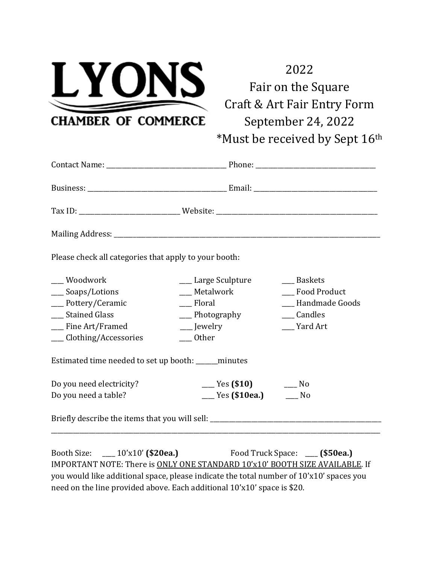

## 2022

Fair on the Square Craft & Art Fair Entry Form September 24, 2022 \*Must be received by Sept 16th

| Please check all categories that apply to your booth:                                                                        |                                                                                                 |                                                                         |  |  |
|------------------------------------------------------------------------------------------------------------------------------|-------------------------------------------------------------------------------------------------|-------------------------------------------------------------------------|--|--|
| __ Woodwork<br>__ Soaps/Lotions<br>__ Pottery/Ceramic<br>__ Stained Glass<br>___ Fine Art/Framed<br>___ Clothing/Accessories | ____ Large Sculpture<br>Metalwork<br>Floral<br>$\frac{1}{2}$ Photography<br>__ Jewelry<br>Other | Baskets<br><b>Food Product</b><br>Handmade Goods<br>Candles<br>Yard Art |  |  |
| Estimated time needed to set up booth: ______ minutes                                                                        |                                                                                                 |                                                                         |  |  |
| Do you need electricity?<br>Do you need a table?                                                                             |                                                                                                 | $\frac{1}{2}$ Yes (\$10ea.) $\frac{1}{2}$ No                            |  |  |
| Briefly describe the items that you will sell: _________________________________                                             |                                                                                                 |                                                                         |  |  |

Booth Size: \_\_\_\_ 10'x10' **(\$20ea.)** Food Truck Space: \_\_\_\_ **(\$50ea.)** IMPORTANT NOTE: There is ONLY ONE STANDARD 10'x10' BOOTH SIZE AVAILABLE. If you would like additional space, please indicate the total number of 10'x10' spaces you need on the line provided above. Each additional 10'x10' space is \$20.